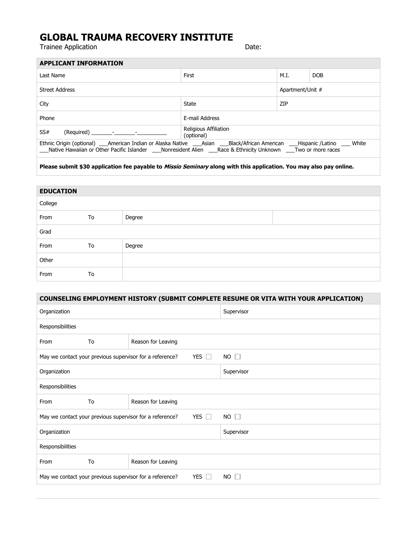## **GLOBAL TRAUMA RECOVERY INSTITUTE**

Trainee Application **Date:** Date:

| <b>APPLICANT INFORMATION</b>                                                                                                                                                                                                                           |                                            |                  |            |
|--------------------------------------------------------------------------------------------------------------------------------------------------------------------------------------------------------------------------------------------------------|--------------------------------------------|------------------|------------|
| Last Name                                                                                                                                                                                                                                              | First                                      | M.I.             | <b>DOB</b> |
| <b>Street Address</b>                                                                                                                                                                                                                                  |                                            | Apartment/Unit # |            |
| City                                                                                                                                                                                                                                                   | State                                      | ZIP              |            |
| Phone                                                                                                                                                                                                                                                  | E-mail Address                             |                  |            |
| SS#<br>$(Required)$ - $-$                                                                                                                                                                                                                              | <b>Religious Affiliation</b><br>(optional) |                  |            |
| Ethnic Origin (optional) ___American Indian or Alaska Native ___Asian ___Black/African American ___Hispanic /Latino ___ White<br>Native Hawaiian or Other Pacific Islander ____ Nonresident Alien ____ Race & Ethnicity Unknown ____ Two or more races |                                            |                  |            |
|                                                                                                                                                                                                                                                        |                                            |                  |            |

**Please submit \$30 application fee payable to Missio Seminary along with this application. You may also pay online.**

| <b>EDUCATION</b> |    |        |  |
|------------------|----|--------|--|
| College          |    |        |  |
| From             | To | Degree |  |
| Grad             |    |        |  |
| From             | To | Degree |  |
| Other            |    |        |  |
| From             | To |        |  |

| <b>COUNSELING EMPLOYMENT HISTORY (SUBMIT COMPLETE RESUME OR VITA WITH YOUR APPLICATION)</b>      |                    |            |  |
|--------------------------------------------------------------------------------------------------|--------------------|------------|--|
| Organization                                                                                     |                    | Supervisor |  |
| Responsibilities                                                                                 |                    |            |  |
| To<br>From                                                                                       | Reason for Leaving |            |  |
| $NO \square$<br><b>YES</b><br>May we contact your previous supervisor for a reference?<br>$\Box$ |                    |            |  |
| Organization                                                                                     |                    | Supervisor |  |
| Responsibilities                                                                                 |                    |            |  |
| From<br>To                                                                                       | Reason for Leaving |            |  |
| May we contact your previous supervisor for a reference?<br><b>YES</b><br>$NO \Box$<br>$\Box$    |                    |            |  |
| Organization                                                                                     |                    | Supervisor |  |
| Responsibilities                                                                                 |                    |            |  |
| To<br>From                                                                                       | Reason for Leaving |            |  |
| YES $\Box$<br>May we contact your previous supervisor for a reference?<br>NO.<br>$\perp$         |                    |            |  |